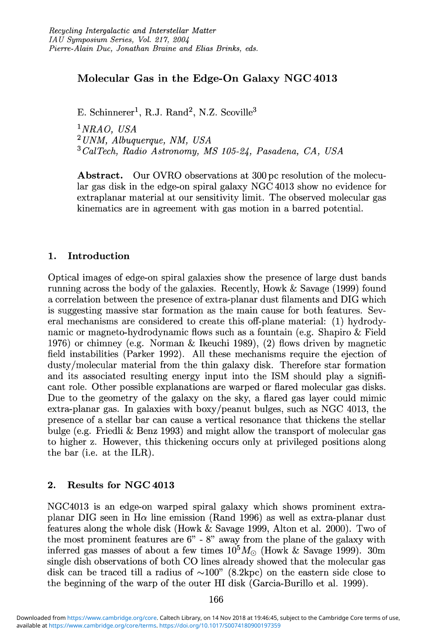## Molecular Gas in the Edge-On Galaxy NGC 4013

E. Schinnerer<sup>1</sup>, R.J. Rand<sup>2</sup>, N.Z. Scoville<sup>3</sup>

*INRAO, USA* <sup>2</sup> *UNM, Albuquerque, NM, USA 3CalTech, Radio Astronomy, MS 105-24, Pasadena, CA, USA*

Abstract. Our OVRO observations at 300 pc resolution of the molecular gas disk in the edge-on spiral galaxy NGC 4013 show no evidence for extraplanar material at our sensitivity limit. The observed molecular gas kinematics are in agreement with gas motion in a barred potential.

## 1. Introduction

Optical images of edge-on spiral galaxies show the presence of large dust bands running across the body of the galaxies. Recently, Howk & Savage (1999) found a correlation between the presence of extra-planar dust filaments and DIG which is suggesting massive star formation as the main cause for both features. Several mechanisms are considered to create this off-plane material: (1) hydrodynamic or magneto-hydrodynamic flows such as a fountain (e.g. Shapiro & Field 1976) or chimney (e.g. Norman & Ikeuchi 1989), (2) flows driven by magnetic field instabilities (Parker 1992). All these mechanisms require the ejection of dusty/molecular material from the thin galaxy disk. Therefore star formation and its associated resulting energy input into the ISM should play a significant role. Other possible explanations are warped or flared molecular gas disks. Due to the geometry of the galaxy on the sky, a flared gas layer could mimic extra-planar gas. In galaxies with boxy/peanut bulges, such as NGC 4013, the presence of a stellar bar can cause a vertical resonance that thickens the stellar bulge (e.g. Friedli & Benz 1993) and might allow the transport of molecular gas to higher z. However, this thickening occurs only at privileged positions along the bar (i.e. at the ILR).

## 2. Results for NGC 4013

NGC4013 is an edge-on warped spiral galaxy which shows prominent extraplanar DIG seen in  $H\alpha$  line emission (Rand 1996) as well as extra-planar dust features along the whole disk (Howk & Savage 1999, Alton et al. 2000). Two of the most prominent features are 6" - 8" away from the plane of the galaxy with inferred gas masses of about a few times  $10^5 M_{\odot}$  (Howk & Savage 1999). 30m single dish observations of both CO lines already showed that the molecular gas disk can be traced till a radius of  $\sim 100$ " (8.2kpc) on the eastern side close to the beginning of the warp of the outer HI disk (Garcia-Burillo et al. 1999).